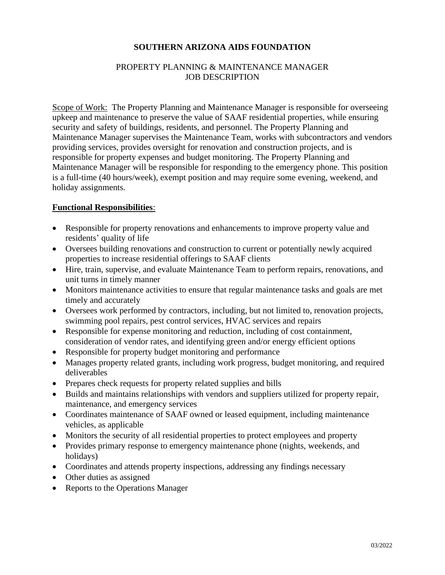# **SOUTHERN ARIZONA AIDS FOUNDATION**

# PROPERTY PLANNING & MAINTENANCE MANAGER JOB DESCRIPTION

Scope of Work: The Property Planning and Maintenance Manager is responsible for overseeing upkeep and maintenance to preserve the value of SAAF residential properties, while ensuring security and safety of buildings, residents, and personnel. The Property Planning and Maintenance Manager supervises the Maintenance Team, works with subcontractors and vendors providing services, provides oversight for renovation and construction projects, and is responsible for property expenses and budget monitoring. The Property Planning and Maintenance Manager will be responsible for responding to the emergency phone. This position is a full-time (40 hours/week), exempt position and may require some evening, weekend, and holiday assignments.

#### **Functional Responsibilities**:

- Responsible for property renovations and enhancements to improve property value and residents' quality of life
- Oversees building renovations and construction to current or potentially newly acquired properties to increase residential offerings to SAAF clients
- Hire, train, supervise, and evaluate Maintenance Team to perform repairs, renovations, and unit turns in timely manner
- Monitors maintenance activities to ensure that regular maintenance tasks and goals are met timely and accurately
- Oversees work performed by contractors, including, but not limited to, renovation projects, swimming pool repairs, pest control services, HVAC services and repairs
- Responsible for expense monitoring and reduction, including of cost containment, consideration of vendor rates, and identifying green and/or energy efficient options
- Responsible for property budget monitoring and performance
- Manages property related grants, including work progress, budget monitoring, and required deliverables
- Prepares check requests for property related supplies and bills
- Builds and maintains relationships with vendors and suppliers utilized for property repair, maintenance, and emergency services
- Coordinates maintenance of SAAF owned or leased equipment, including maintenance vehicles, as applicable
- Monitors the security of all residential properties to protect employees and property
- Provides primary response to emergency maintenance phone (nights, weekends, and holidays)
- Coordinates and attends property inspections, addressing any findings necessary
- Other duties as assigned
- Reports to the Operations Manager